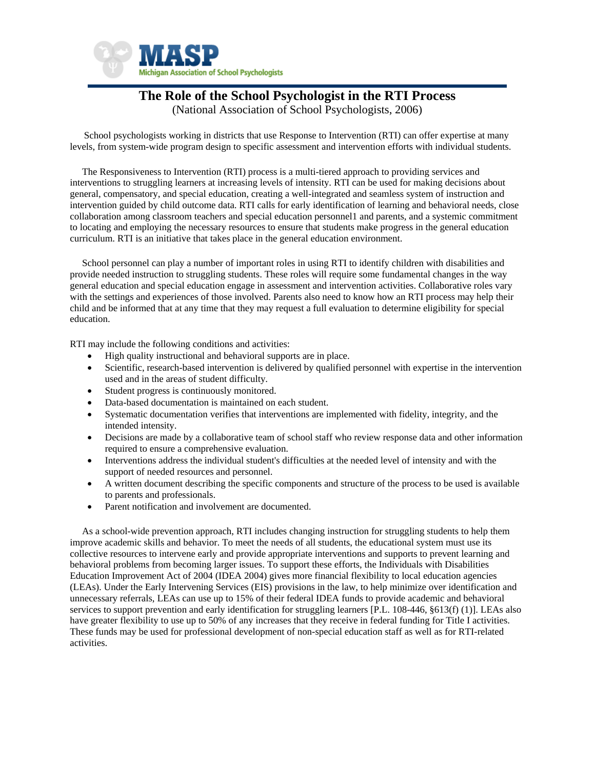

# **The Role of the School Psychologist in the RTI Process**

(National Association of School Psychologists, 2006)

 School psychologists working in districts that use Response to Intervention (RTI) can offer expertise at many levels, from system-wide program design to specific assessment and intervention efforts with individual students.

 The Responsiveness to Intervention (RTI) process is a multi-tiered approach to providing services and interventions to struggling learners at increasing levels of intensity. RTI can be used for making decisions about general, compensatory, and special education, creating a well-integrated and seamless system of instruction and intervention guided by child outcome data. RTI calls for early identification of learning and behavioral needs, close collaboration among classroom teachers and special education personnel1 and parents, and a systemic commitment to locating and employing the necessary resources to ensure that students make progress in the general education curriculum. RTI is an initiative that takes place in the general education environment.

 School personnel can play a number of important roles in using RTI to identify children with disabilities and provide needed instruction to struggling students. These roles will require some fundamental changes in the way general education and special education engage in assessment and intervention activities. Collaborative roles vary with the settings and experiences of those involved. Parents also need to know how an RTI process may help their child and be informed that at any time that they may request a full evaluation to determine eligibility for special education.

RTI may include the following conditions and activities:

- High quality instructional and behavioral supports are in place.
- Scientific, research-based intervention is delivered by qualified personnel with expertise in the intervention used and in the areas of student difficulty.
- Student progress is continuously monitored.
- Data-based documentation is maintained on each student.
- Systematic documentation verifies that interventions are implemented with fidelity, integrity, and the intended intensity.
- Decisions are made by a collaborative team of school staff who review response data and other information required to ensure a comprehensive evaluation.
- Interventions address the individual student's difficulties at the needed level of intensity and with the support of needed resources and personnel.
- A written document describing the specific components and structure of the process to be used is available to parents and professionals.
- Parent notification and involvement are documented.

 As a school-wide prevention approach, RTI includes changing instruction for struggling students to help them improve academic skills and behavior. To meet the needs of all students, the educational system must use its collective resources to intervene early and provide appropriate interventions and supports to prevent learning and behavioral problems from becoming larger issues. To support these efforts, the Individuals with Disabilities Education Improvement Act of 2004 (IDEA 2004) gives more financial flexibility to local education agencies (LEAs). Under the Early Intervening Services (EIS) provisions in the law, to help minimize over identification and unnecessary referrals, LEAs can use up to 15% of their federal IDEA funds to provide academic and behavioral services to support prevention and early identification for struggling learners [P.L. 108-446, §613(f) (1)]. LEAs also have greater flexibility to use up to 50% of any increases that they receive in federal funding for Title I activities. These funds may be used for professional development of non-special education staff as well as for RTI-related activities.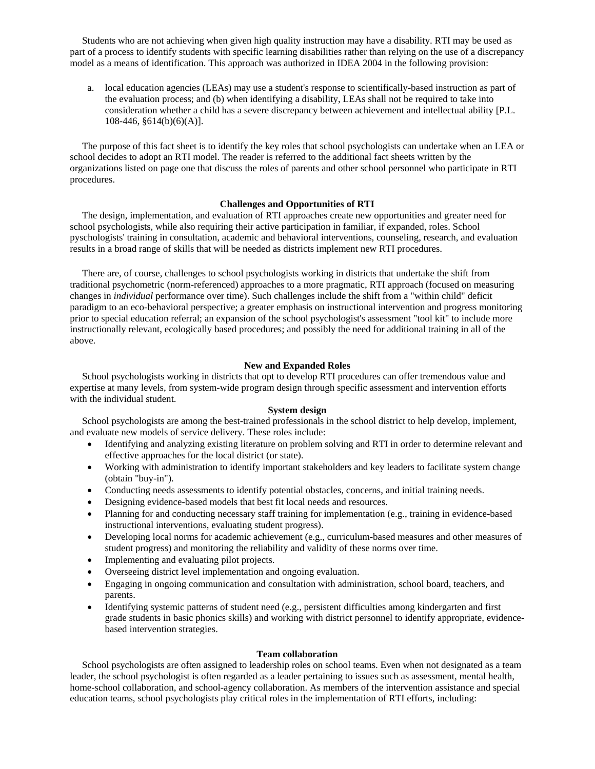Students who are not achieving when given high quality instruction may have a disability. RTI may be used as part of a process to identify students with specific learning disabilities rather than relying on the use of a discrepancy model as a means of identification. This approach was authorized in IDEA 2004 in the following provision:

a. local education agencies (LEAs) may use a student's response to scientifically-based instruction as part of the evaluation process; and (b) when identifying a disability, LEAs shall not be required to take into consideration whether a child has a severe discrepancy between achievement and intellectual ability [P.L. 108-446, §614(b)(6)(A)].

 The purpose of this fact sheet is to identify the key roles that school psychologists can undertake when an LEA or school decides to adopt an RTI model. The reader is referred to the additional fact sheets written by the organizations listed on page one that discuss the roles of parents and other school personnel who participate in RTI procedures.

# **Challenges and Opportunities of RTI**

 The design, implementation, and evaluation of RTI approaches create new opportunities and greater need for school psychologists, while also requiring their active participation in familiar, if expanded, roles. School pyschologists' training in consultation, academic and behavioral interventions, counseling, research, and evaluation results in a broad range of skills that will be needed as districts implement new RTI procedures.

 There are, of course, challenges to school psychologists working in districts that undertake the shift from traditional psychometric (norm-referenced) approaches to a more pragmatic, RTI approach (focused on measuring changes in *individual* performance over time). Such challenges include the shift from a "within child" deficit paradigm to an eco-behavioral perspective; a greater emphasis on instructional intervention and progress monitoring prior to special education referral; an expansion of the school psychologist's assessment "tool kit" to include more instructionally relevant, ecologically based procedures; and possibly the need for additional training in all of the above.

#### **New and Expanded Roles**

 School psychologists working in districts that opt to develop RTI procedures can offer tremendous value and expertise at many levels, from system-wide program design through specific assessment and intervention efforts with the individual student.

# **System design**

 School psychologists are among the best-trained professionals in the school district to help develop, implement, and evaluate new models of service delivery. These roles include:

- Identifying and analyzing existing literature on problem solving and RTI in order to determine relevant and effective approaches for the local district (or state).
- Working with administration to identify important stakeholders and key leaders to facilitate system change (obtain "buy-in").
- Conducting needs assessments to identify potential obstacles, concerns, and initial training needs.
- Designing evidence-based models that best fit local needs and resources.
- Planning for and conducting necessary staff training for implementation (e.g., training in evidence-based instructional interventions, evaluating student progress).
- Developing local norms for academic achievement (e.g., curriculum-based measures and other measures of student progress) and monitoring the reliability and validity of these norms over time.
- Implementing and evaluating pilot projects.
- Overseeing district level implementation and ongoing evaluation.
- Engaging in ongoing communication and consultation with administration, school board, teachers, and parents.
- Identifying systemic patterns of student need (e.g., persistent difficulties among kindergarten and first grade students in basic phonics skills) and working with district personnel to identify appropriate, evidencebased intervention strategies.

#### **Team collaboration**

 School psychologists are often assigned to leadership roles on school teams. Even when not designated as a team leader, the school psychologist is often regarded as a leader pertaining to issues such as assessment, mental health, home-school collaboration, and school-agency collaboration. As members of the intervention assistance and special education teams, school psychologists play critical roles in the implementation of RTI efforts, including: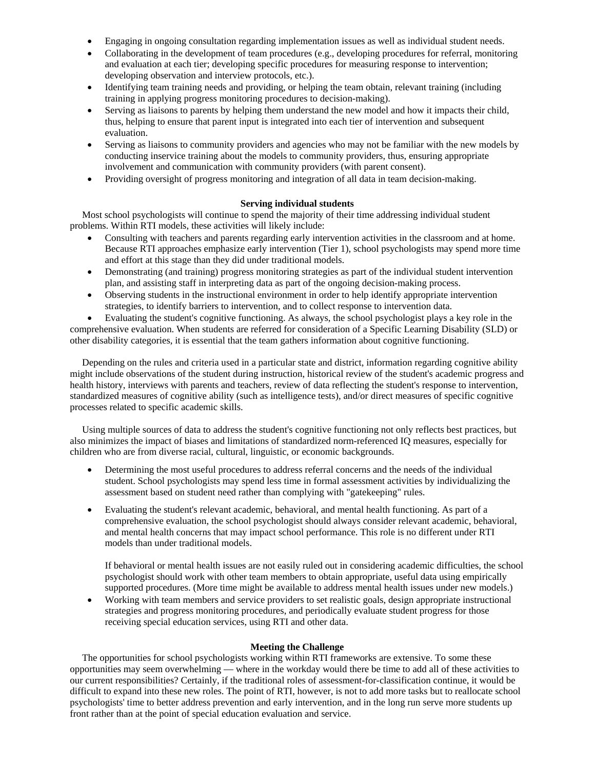- Engaging in ongoing consultation regarding implementation issues as well as individual student needs.
- Collaborating in the development of team procedures (e.g., developing procedures for referral, monitoring and evaluation at each tier; developing specific procedures for measuring response to intervention; developing observation and interview protocols, etc.).
- Identifying team training needs and providing, or helping the team obtain, relevant training (including training in applying progress monitoring procedures to decision-making).
- Serving as liaisons to parents by helping them understand the new model and how it impacts their child, thus, helping to ensure that parent input is integrated into each tier of intervention and subsequent evaluation.
- Serving as liaisons to community providers and agencies who may not be familiar with the new models by conducting inservice training about the models to community providers, thus, ensuring appropriate involvement and communication with community providers (with parent consent).
- Providing oversight of progress monitoring and integration of all data in team decision-making.

# **Serving individual students**

 Most school psychologists will continue to spend the majority of their time addressing individual student problems. Within RTI models, these activities will likely include:

- Consulting with teachers and parents regarding early intervention activities in the classroom and at home. Because RTI approaches emphasize early intervention (Tier 1), school psychologists may spend more time and effort at this stage than they did under traditional models.
- Demonstrating (and training) progress monitoring strategies as part of the individual student intervention plan, and assisting staff in interpreting data as part of the ongoing decision-making process.
- Observing students in the instructional environment in order to help identify appropriate intervention strategies, to identify barriers to intervention, and to collect response to intervention data.

• Evaluating the student's cognitive functioning. As always, the school psychologist plays a key role in the comprehensive evaluation. When students are referred for consideration of a Specific Learning Disability (SLD) or other disability categories, it is essential that the team gathers information about cognitive functioning.

 Depending on the rules and criteria used in a particular state and district, information regarding cognitive ability might include observations of the student during instruction, historical review of the student's academic progress and health history, interviews with parents and teachers, review of data reflecting the student's response to intervention, standardized measures of cognitive ability (such as intelligence tests), and/or direct measures of specific cognitive processes related to specific academic skills.

 Using multiple sources of data to address the student's cognitive functioning not only reflects best practices, but also minimizes the impact of biases and limitations of standardized norm-referenced IQ measures, especially for children who are from diverse racial, cultural, linguistic, or economic backgrounds.

- Determining the most useful procedures to address referral concerns and the needs of the individual student. School psychologists may spend less time in formal assessment activities by individualizing the assessment based on student need rather than complying with "gatekeeping" rules.
- Evaluating the student's relevant academic, behavioral, and mental health functioning. As part of a comprehensive evaluation, the school psychologist should always consider relevant academic, behavioral, and mental health concerns that may impact school performance. This role is no different under RTI models than under traditional models.

If behavioral or mental health issues are not easily ruled out in considering academic difficulties, the school psychologist should work with other team members to obtain appropriate, useful data using empirically supported procedures. (More time might be available to address mental health issues under new models.)

• Working with team members and service providers to set realistic goals, design appropriate instructional strategies and progress monitoring procedures, and periodically evaluate student progress for those receiving special education services, using RTI and other data.

### **Meeting the Challenge**

 The opportunities for school psychologists working within RTI frameworks are extensive. To some these opportunities may seem overwhelming — where in the workday would there be time to add all of these activities to our current responsibilities? Certainly, if the traditional roles of assessment-for-classification continue, it would be difficult to expand into these new roles. The point of RTI, however, is not to add more tasks but to reallocate school psychologists' time to better address prevention and early intervention, and in the long run serve more students up front rather than at the point of special education evaluation and service.